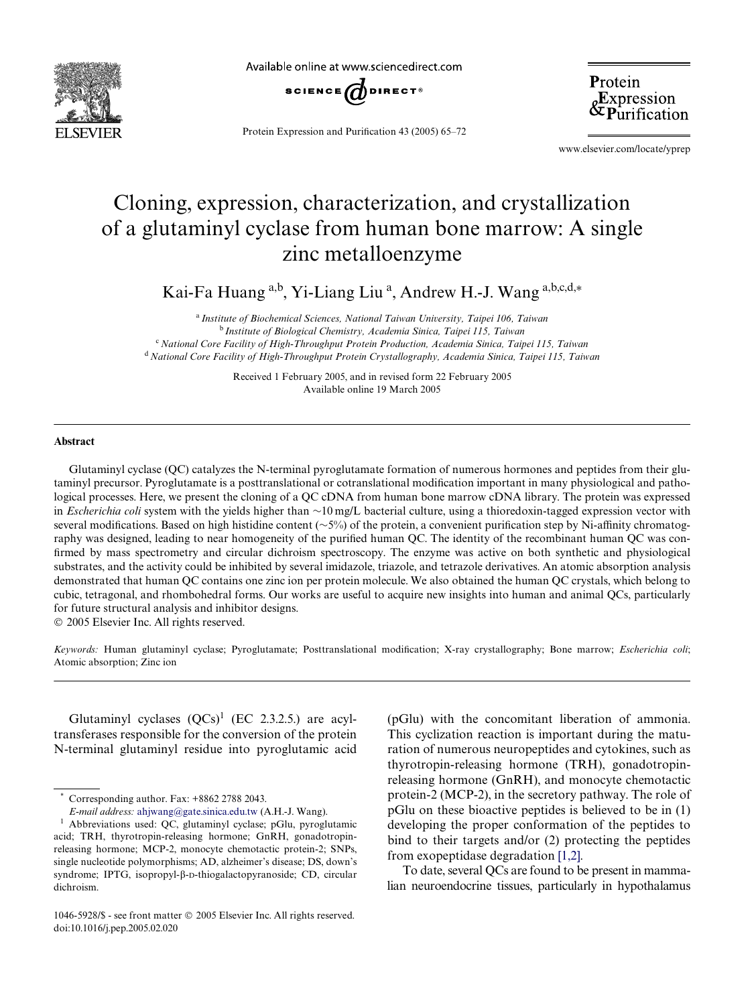

Available online at www.sciencedirect.com



Protein Expression and Purification 43 (2005) 65–72

Protein &Expression<br>&Purification

www.elsevier.com/locate/yprep

# Cloning, expression, characterization, and crystallization of a glutaminyl cyclase from human bone marrow: A single zinc metalloenzyme

Kai-Fa Huang a,b, Yi-Liang Liu a, Andrew H.-J. Wang a,b,c,d,\*

<sup>a</sup>*Institute of Biochemical Sciences, National Taiwan University, Taipei 106, Taiwan* <sup>b</sup>*Institute of Biological Chemistry, Academia Sinica, Taipei 115, Taiwan* <sup>c</sup>*National Core Facility of High-Throughput Protein Production, Academia Sinica, Taipei 115, Taiwan* <sup>d</sup>*National Core Facility of High-Throughput Protein Crystallography, Academia Sinica, Taipei 115, Taiwan*

> Received 1 February 2005, and in revised form 22 February 2005 Available online 19 March 2005

#### **Abstract**

Glutaminyl cyclase (QC) catalyzes the N-terminal pyroglutamate formation of numerous hormones and peptides from their glutaminyl precursor. Pyroglutamate is a posttranslational or cotranslational modification important in many physiological and pathological processes. Here, we present the cloning of a QC cDNA from human bone marrow cDNA library. The protein was expressed in *Escherichia coli* system with the yields higher than  $\sim 10$  mg/L bacterial culture, using a thioredoxin-tagged expression vector with several modifications. Based on high histidine content ( $\sim 5\%$ ) of the protein, a convenient purification step by Ni-affinity chromatography was designed, leading to near homogeneity of the purified human OC. The identity of the recombinant human OC was confirmed by mass spectrometry and circular dichroism spectroscopy. The enzyme was active on both synthetic and physiological substrates, and the activity could be inhibited by several imidazole, triazole, and tetrazole derivatives. An atomic absorption analysis demonstrated that human QC contains one zinc ion per protein molecule. We also obtained the human QC crystals, which belong to cubic, tetragonal, and rhombohedral forms. Our works are useful to acquire new insights into human and animal QCs, particularly for future structural analysis and inhibitor designs.

2005 Elsevier Inc. All rights reserved.

*Keywords:* Human glutaminyl cyclase; Pyroglutamate; Posttranslational modification; X-ray crystallography; Bone marrow; *Escherichia coli*; Atomic absorption; Zinc ion

Glutaminyl cyclases  $(QCs)^1$  (EC 2.3.2.5.) are acyltransferases responsible for the conversion of the protein N-terminal glutaminyl residue into pyroglutamic acid

Corresponding author. Fax: +8862 2788 2043.

*E-mail address:* [ahjwang@gate.sinica.edu.tw](mailto: ahjwang@gate.sinica.edu.tw) (A.H.-J. Wang).

(pGlu) with the concomitant liberation of ammonia. This cyclization reaction is important during the maturation of numerous neuropeptides and cytokines, such as thyrotropin-releasing hormone (TRH), gonadotropinreleasing hormone (GnRH), and monocyte chemotactic protein-2 (MCP-2), in the secretory pathway. The role of pGlu on these bioactive peptides is believed to be in (1) developing the proper conformation of the peptides to bind to their targets and/or (2) protecting the peptides from exopeptidase degradation [\[1,2\]](#page-6-0).

To date, several QCs are found to be present in mammalian neuroendocrine tissues, particularly in hypothalamus

<sup>1</sup> Abbreviations used: QC, glutaminyl cyclase; pGlu, pyroglutamic acid; TRH, thyrotropin-releasing hormone; GnRH, gonadotropinreleasing hormone; MCP-2, monocyte chemotactic protein-2; SNPs, single nucleotide polymorphisms; AD, alzheimer's disease; DS, down's syndrome; IPTG, isopropyl- $\beta$ -D-thiogalactopyranoside; CD, circular dichroism.

<sup>1046-5928/\$ -</sup> see front matter  $\odot$  2005 Elsevier Inc. All rights reserved. doi:10.1016/j.pep.2005.02.020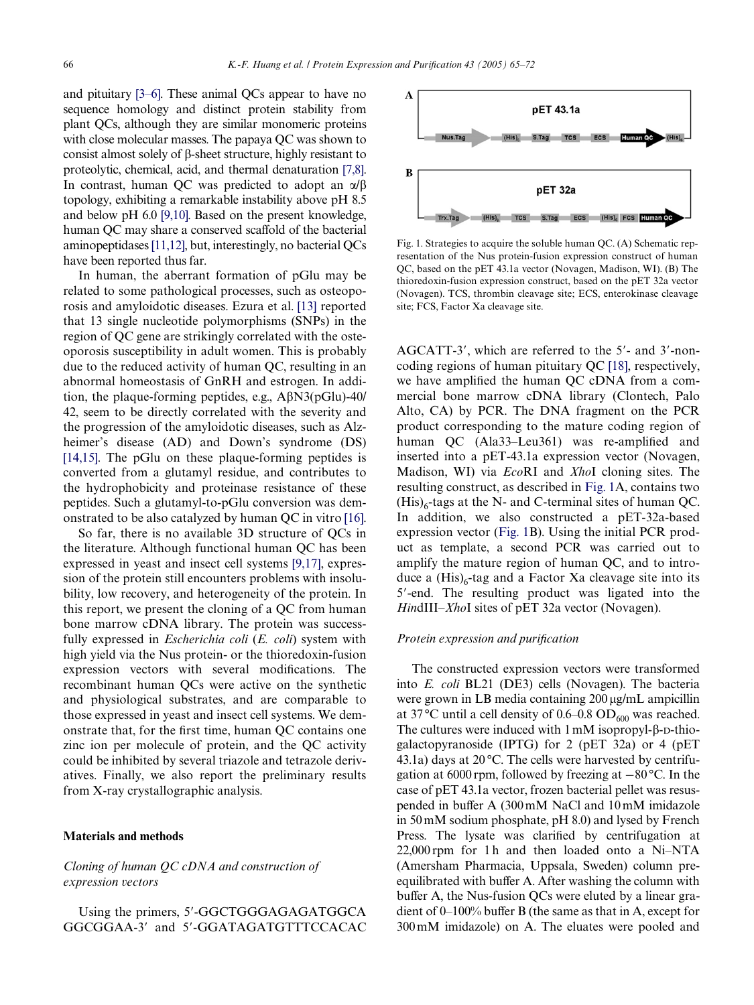and pituitary [\[3–6\].](#page-6-1) These animal QCs appear to have no sequence homology and distinct protein stability from plant QCs, although they are similar monomeric proteins with close molecular masses. The papaya QC was shown to consist almost solely of  $\beta$ -sheet structure, highly resistant to proteolytic, chemical, acid, and thermal denaturation [\[7,8\]](#page-6-2). In contrast, human QC was predicted to adopt an  $\alpha/\beta$ topology, exhibiting a remarkable instability above pH 8.5 and below pH 6.0 [\[9,10\].](#page-6-3) Based on the present knowledge, human OC may share a conserved scaffold of the bacterial aminopeptidases [\[11,12\],](#page-6-4) but, interestingly, no bacterial QCs have been reported thus far.

In human, the aberrant formation of pGlu may be related to some pathological processes, such as osteoporosis and amyloidotic diseases. Ezura et al. [\[13\]](#page-6-5) reported that 13 single nucleotide polymorphisms (SNPs) in the region of QC gene are strikingly correlated with the osteoporosis susceptibility in adult women. This is probably due to the reduced activity of human QC, resulting in an abnormal homeostasis of GnRH and estrogen. In addition, the plaque-forming peptides, e.g.,  $\widehat{ABN3(pGlu)}$ -40/ 42, seem to be directly correlated with the severity and the progression of the amyloidotic diseases, such as Alzheimer's disease (AD) and Down's syndrome (DS) [\[14,15\]](#page-6-6). The pGlu on these plaque-forming peptides is converted from a glutamyl residue, and contributes to the hydrophobicity and proteinase resistance of these peptides. Such a glutamyl-to-pGlu conversion was demonstrated to be also catalyzed by human QC in vitro [\[16\]](#page-7-1).

So far, there is no available 3D structure of QCs in the literature. Although functional human QC has been expressed in yeast and insect cell systems [\[9,17\]](#page-6-3), expression of the protein still encounters problems with insolubility, low recovery, and heterogeneity of the protein. In this report, we present the cloning of a QC from human bone marrow cDNA library. The protein was successfully expressed in *Escherichia coli* (*E. coli*) system with high yield via the Nus protein- or the thioredoxin-fusion expression vectors with several modifications. The recombinant human QCs were active on the synthetic and physiological substrates, and are comparable to those expressed in yeast and insect cell systems. We demonstrate that, for the first time, human OC contains one zinc ion per molecule of protein, and the QC activity could be inhibited by several triazole and tetrazole derivatives. Finally, we also report the preliminary results from X-ray crystallographic analysis.

#### **Materials and methods**

## *Cloning of human QC cDNA and construction of expression vectors*

Using the primers, 5'-GGCTGGGAGAGATGGCA GGCGGAA-3' and 5'-GGATAGATGTTTCCACAC



<span id="page-1-0"></span>Fig. 1. Strategies to acquire the soluble human QC. (A) Schematic representation of the Nus protein-fusion expression construct of human QC, based on the pET 43.1a vector (Novagen, Madison, WI). (B) The thioredoxin-fusion expression construct, based on the pET 32a vector (Novagen). TCS, thrombin cleavage site; ECS, enterokinase cleavage site; FCS, Factor Xa cleavage site.

AGCATT-3', which are referred to the 5'- and 3'-noncoding regions of human pituitary QC [\[18\],](#page-7-0) respectively, we have amplified the human OC cDNA from a commercial bone marrow cDNA library (Clontech, Palo Alto, CA) by PCR. The DNA fragment on the PCR product corresponding to the mature coding region of human QC (Ala33–Leu361) was re-amplified and inserted into a pET-43.1a expression vector (Novagen, Madison, WI) via *Eco*RI and *Xho*I cloning sites. The resulting construct, as described in [Fig. 1A](#page-1-0), contains two  $(His)_{6}$ -tags at the N- and C-terminal sites of human QC. In addition, we also constructed a pET-32a-based expression vector ([Fig. 1B](#page-1-0)). Using the initial PCR product as template, a second PCR was carried out to amplify the mature region of human QC, and to introduce a  $(His)_{6}$ -tag and a Factor Xa cleavage site into its 5-end. The resulting product was ligated into the *Hin*dIII–*Xho*I sites of pET 32a vector (Novagen).

#### *Protein expression and purification*

The constructed expression vectors were transformed into *E. coli* BL21 (DE3) cells (Novagen). The bacteria were grown in LB media containing  $200 \mu g/mL$  ampicillin at 37 °C until a cell density of 0.6–0.8 OD<sub>600</sub> was reached. The cultures were induced with  $1 \text{ mM}$  isopropyl- $\beta$ -D-thiogalactopyranoside (IPTG) for 2 (pET 32a) or 4 (pET 43.1a) days at  $20^{\circ}$ C. The cells were harvested by centrifugation at 6000 rpm, followed by freezing at  $-80^{\circ}$ C. In the case of pET 43.1a vector, frozen bacterial pellet was resuspended in buffer A  $(300 \text{ mM NaCl}$  and  $10 \text{ mM imidazole}$ in 50 mM sodium phosphate, pH 8.0) and lysed by French Press. The lysate was clarified by centrifugation at  $22,000$  rpm for 1 h and then loaded onto a Ni–NTA (Amersham Pharmacia, Uppsala, Sweden) column preequilibrated with buffer A. After washing the column with buffer A, the Nus-fusion QCs were eluted by a linear gradient of 0–100% buffer B (the same as that in A, except for 300 mM imidazole) on A. The eluates were pooled and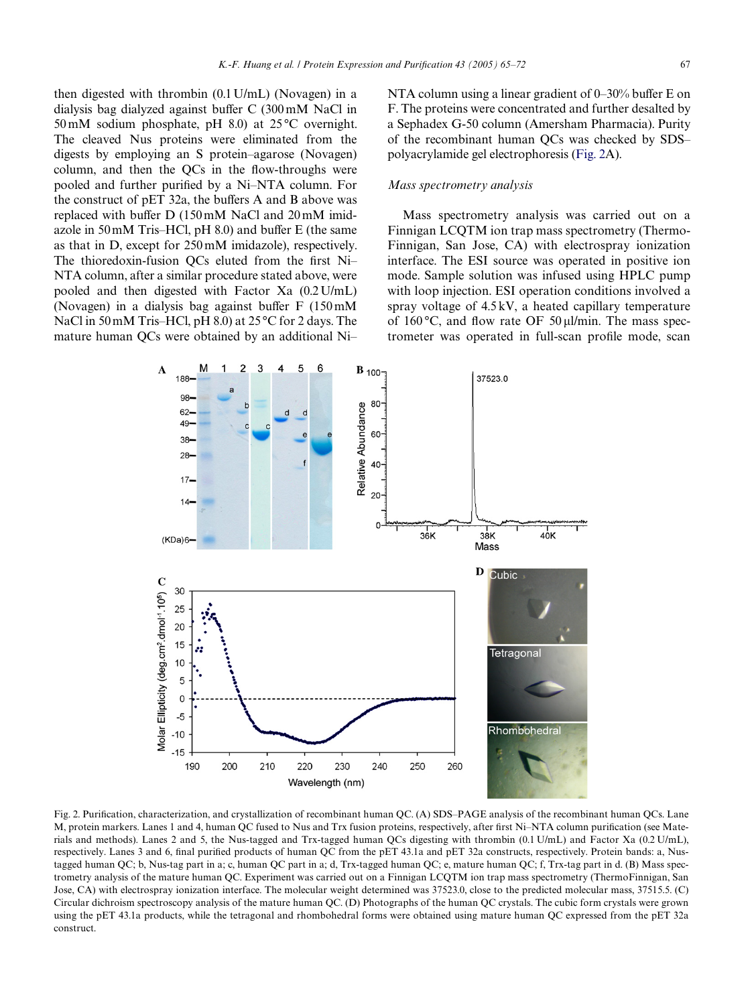then digested with thrombin (0.1 U/mL) (Novagen) in a dialysis bag dialyzed against buffer  $C$  (300 mM NaCl in 50 mM sodium phosphate, pH 8.0) at 25 °C overnight. The cleaved Nus proteins were eliminated from the digests by employing an S protein–agarose (Novagen) column, and then the  $QCs$  in the flow-throughs were pooled and further purified by a Ni–NTA column. For the construct of pET 32a, the buffers A and B above was replaced with buffer  $D(150 \text{ mM NaCl and } 20 \text{ mM imid}$ azole in  $50 \text{ mM}$  Tris–HCl, pH 8.0) and buffer E (the same as that in D, except for 250 mM imidazole), respectively. The thioredoxin-fusion  $\overline{OCs}$  eluted from the first Ni– NTA column, after a similar procedure stated above, were pooled and then digested with Factor Xa (0.2 U/mL) (Novagen) in a dialysis bag against buffer  $F(150 \text{ mM})$ NaCl in 50 mM Tris–HCl, pH 8.0) at 25 °C for 2 days. The mature human QCs were obtained by an additional Ni–

NTA column using a linear gradient of  $0-30\%$  buffer E on F. The proteins were concentrated and further desalted by a Sephadex G-50 column (Amersham Pharmacia). Purity of the recombinant human QCs was checked by SDS– polyacrylamide gel electrophoresis ([Fig. 2](#page-2-0)A).

## *Mass spectrometry analysis*

Mass spectrometry analysis was carried out on a Finnigan LCQTM ion trap mass spectrometry (Thermo-Finnigan, San Jose, CA) with electrospray ionization interface. The ESI source was operated in positive ion mode. Sample solution was infused using HPLC pump with loop injection. ESI operation conditions involved a spray voltage of 4.5 kV, a heated capillary temperature of 160 $\degree$ C, and flow rate OF 50 µl/min. The mass spectrometer was operated in full-scan profile mode, scan



<span id="page-2-0"></span>Fig. 2. Purification, characterization, and crystallization of recombinant human QC. (A) SDS–PAGE analysis of the recombinant human QCs. Lane M, protein markers. Lanes 1 and 4, human QC fused to Nus and Trx fusion proteins, respectively, after first Ni–NTA column purification (see Materials and methods). Lanes 2 and 5, the Nus-tagged and Trx-tagged human QCs digesting with thrombin (0.1 U/mL) and Factor Xa (0.2 U/mL), respectively. Lanes 3 and 6, final purified products of human QC from the pET 43.1a and pET 32a constructs, respectively. Protein bands: a, Nustagged human QC; b, Nus-tag part in a; c, human QC part in a; d, Trx-tagged human QC; e, mature human QC; f, Trx-tag part in d. (B) Mass spectrometry analysis of the mature human QC. Experiment was carried out on a Finnigan LCQTM ion trap mass spectrometry (ThermoFinnigan, San Jose, CA) with electrospray ionization interface. The molecular weight determined was 37523.0, close to the predicted molecular mass, 37515.5. (C) Circular dichroism spectroscopy analysis of the mature human QC. (D) Photographs of the human QC crystals. The cubic form crystals were grown using the pET 43.1a products, while the tetragonal and rhombohedral forms were obtained using mature human QC expressed from the pET 32a construct.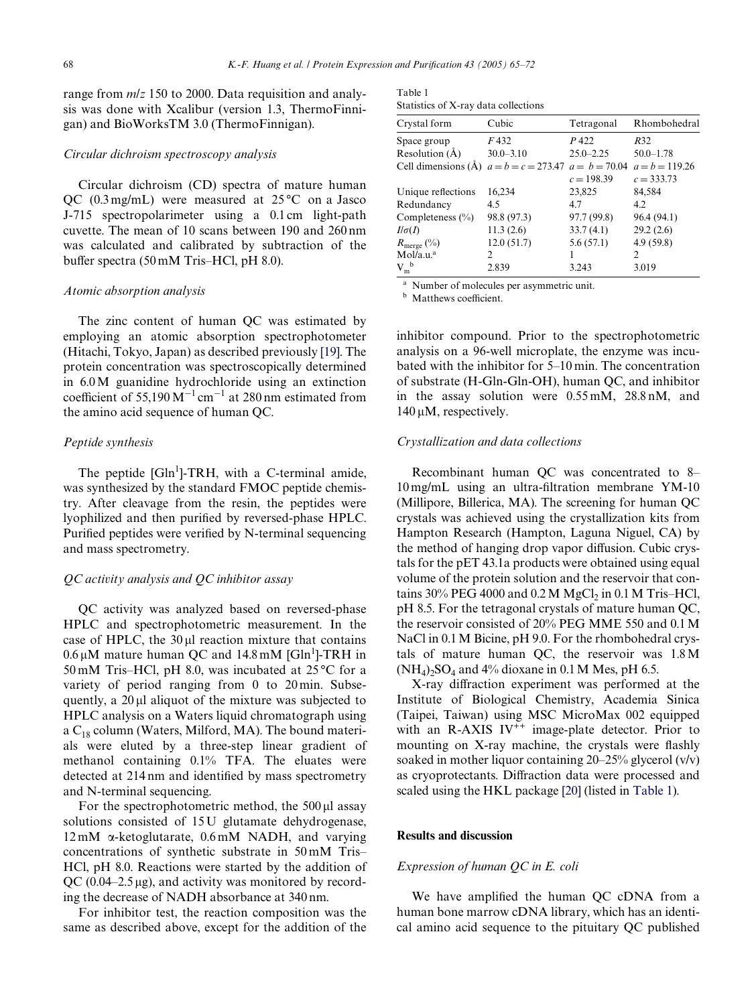range from *m*/*z* 150 to 2000. Data requisition and analysis was done with Xcalibur (version 1.3, ThermoFinnigan) and BioWorksTM 3.0 (ThermoFinnigan).

#### *Circular dichroism spectroscopy analysis*

Circular dichroism (CD) spectra of mature human QC  $(0.3 \text{ mg/mL})$  were measured at  $25^{\circ}$ C on a Jasco J-715 spectropolarimeter using a 0.1 cm light-path cuvette. The mean of 10 scans between 190 and 260 nm was calculated and calibrated by subtraction of the buffer spectra  $(50 \text{ mM Tris-HCl}, \text{pH } 8.0)$ .

### *Atomic absorption analysis*

The zinc content of human QC was estimated by employing an atomic absorption spectrophotometer (Hitachi, Tokyo, Japan) as described previously [\[19\]](#page-7-2). The protein concentration was spectroscopically determined in 6.0 M guanidine hydrochloride using an extinction coefficient of 55,190  $M^{-1}$  cm<sup>-1</sup> at 280 nm estimated from the amino acid sequence of human QC.

## *Peptide synthesis*

The peptide  $[GIn<sup>1</sup>]$ -TRH, with a C-terminal amide, was synthesized by the standard FMOC peptide chemistry. After cleavage from the resin, the peptides were lyophilized and then purified by reversed-phase HPLC. Purified peptides were verified by N-terminal sequencing and mass spectrometry.

## *QC activity analysis and QC inhibitor assay*

QC activity was analyzed based on reversed-phase HPLC and spectrophotometric measurement. In the case of HPLC, the  $30 \mu l$  reaction mixture that contains  $0.6 \,\mu$ M mature human QC and  $14.8 \,\text{mM}$  [Gln<sup>1</sup>]-TRH in 50 mM Tris–HCl, pH 8.0, was incubated at 25 °C for a variety of period ranging from 0 to 20 min. Subsequently, a  $20 \mu l$  aliquot of the mixture was subjected to HPLC analysis on a Waters liquid chromatograph using a  $C_{18}$  column (Waters, Milford, MA). The bound materials were eluted by a three-step linear gradient of methanol containing 0.1% TFA. The eluates were detected at 214 nm and identified by mass spectrometry and N-terminal sequencing.

For the spectrophotometric method, the  $500 \mu l$  assay solutions consisted of 15 U glutamate dehydrogenase,  $12 \text{ mM}$   $\alpha$ -ketoglutarate,  $0.6 \text{ mM}$  NADH, and varying concentrations of synthetic substrate in 50 mM Tris– HCl, pH 8.0. Reactions were started by the addition of QC (0.04–2.5  $\mu$ g), and activity was monitored by recording the decrease of NADH absorbance at 340 nm.

For inhibitor test, the reaction composition was the same as described above, except for the addition of the

<span id="page-3-0"></span>

| Table 1                              |  |
|--------------------------------------|--|
| Statistics of X-ray data collections |  |

| Crystal form           | Cubic                                | Tetragonal    | Rhombohedral     |
|------------------------|--------------------------------------|---------------|------------------|
| Space group            | F 432                                | P 422         | R32              |
| Resolution $(\AA)$     | $30.0 - 3.10$                        | $25.0 - 2.25$ | $50.0 - 1.78$    |
| Cell dimensions $(A)$  | $a = b = c = 273.47$ $a = b = 70.04$ |               | $a = b = 119.26$ |
|                        |                                      | $c = 198.39$  | $c = 333.73$     |
| Unique reflections     | 16,234                               | 23,825        | 84,584           |
| Redundancy             | 4.5                                  | 4.7           | 4.2              |
| Completeness $(\% )$   | 98.8 (97.3)                          | 97.7 (99.8)   | 96.4 (94.1)      |
| $I/\sigma(I)$          | 11.3(2.6)                            | 33.7(4.1)     | 29.2(2.6)        |
| $R_{\text{merge}}(\%)$ | 12.0(51.7)                           | 5.6(57.1)     | 4.9(59.8)        |
| Mol/a.u. <sup>a</sup>  | 2                                    |               | $\mathcal{P}$    |
| $V_{m}^{\ b}$          | 2.839                                | 3.243         | 3.019            |

<sup>a</sup> Number of molecules per asymmetric unit.

**b** Matthews coefficient.

inhibitor compound. Prior to the spectrophotometric analysis on a 96-well microplate, the enzyme was incubated with the inhibitor for 5–10 min. The concentration of substrate (H-Gln-Gln-OH), human QC, and inhibitor in the assay solution were 0.55 mM, 28.8 nM, and  $140 \,\mu M$ , respectively.

### *Crystallization and data collections*

Recombinant human QC was concentrated to 8–  $10 \text{ mg/mL}$  using an ultra-filtration membrane YM-10 (Millipore, Billerica, MA). The screening for human QC crystals was achieved using the crystallization kits from Hampton Research (Hampton, Laguna Niguel, CA) by the method of hanging drop vapor diffusion. Cubic crystals for the pET 43.1a products were obtained using equal volume of the protein solution and the reservoir that contains  $30\%$  PEG 4000 and 0.2 M MgCl<sub>2</sub> in 0.1 M Tris–HCl, pH 8.5. For the tetragonal crystals of mature human QC, the reservoir consisted of 20% PEG MME 550 and 0.1 M NaCl in 0.1 M Bicine, pH 9.0. For the rhombohedral crystals of mature human QC, the reservoir was 1.8 M  $(NH_4)$ <sub>2</sub>SO<sub>4</sub> and 4% dioxane in 0.1 M Mes, pH 6.5.

X-ray diffraction experiment was performed at the Institute of Biological Chemistry, Academia Sinica (Taipei, Taiwan) using MSC MicroMax 002 equipped with an R-AXIS  $IV^{++}$  image-plate detector. Prior to mounting on X-ray machine, the crystals were flashly soaked in mother liquor containing 20–25% glycerol (v/v) as cryoprotectants. Diffraction data were processed and scaled using the HKL package [\[20\]](#page-7-3) (listed in [Table 1](#page-3-0)).

#### **Results and discussion**

#### *Expression of human QC in E. coli*

We have amplified the human QC cDNA from a human bone marrow cDNA library, which has an identical amino acid sequence to the pituitary QC published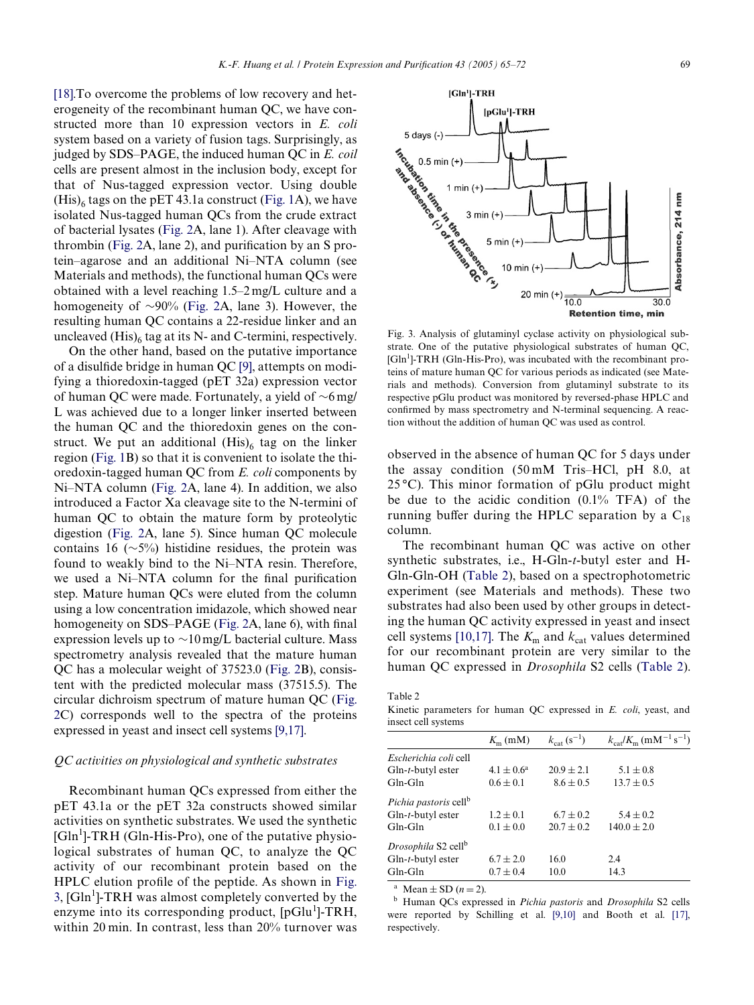[\[18\].](#page-7-0) To overcome the problems of low recovery and heterogeneity of the recombinant human QC, we have constructed more than 10 expression vectors in *E. coli* system based on a variety of fusion tags. Surprisingly, as judged by SDS–PAGE, the induced human QC in *E. coil* cells are present almost in the inclusion body, except for that of Nus-tagged expression vector. Using double  $(His)$ <sub>6</sub> tags on the pET 43.1a construct ([Fig. 1A](#page-1-0)), we have isolated Nus-tagged human QCs from the crude extract of bacterial lysates [\(Fig. 2A](#page-2-0), lane 1). After cleavage with thrombin (Fig.  $2A$ , lane  $2$ ), and purification by an S protein–agarose and an additional Ni–NTA column (see Materials and methods), the functional human QCs were obtained with a level reaching 1.5–2 mg/L culture and a homogeneity of  $\sim$ 90% [\(Fig. 2A](#page-2-0), lane 3). However, the resulting human QC contains a 22-residue linker and an uncleaved  $(His)_6$  tag at its N- and C-termini, respectively.

On the other hand, based on the putative importance of a disulfide bridge in human QC [\[9\]](#page-6-3), attempts on modifying a thioredoxin-tagged (pET 32a) expression vector of human QC were made. Fortunately, a yield of  $\sim$ 6 mg/ L was achieved due to a longer linker inserted between the human QC and the thioredoxin genes on the construct. We put an additional  $(His)_6$  tag on the linker region [\(Fig. 1](#page-1-0)B) so that it is convenient to isolate the thioredoxin-tagged human QC from *E. coli* components by Ni–NTA column ([Fig. 2A](#page-2-0), lane 4). In addition, we also introduced a Factor Xa cleavage site to the N-termini of human QC to obtain the mature form by proteolytic digestion ([Fig. 2](#page-2-0)A, lane 5). Since human QC molecule contains 16 ( $\sim$ 5%) histidine residues, the protein was found to weakly bind to the Ni–NTA resin. Therefore, we used a Ni–NTA column for the final purification step. Mature human QCs were eluted from the column using a low concentration imidazole, which showed near homogeneity on SDS–PAGE (Fig.  $2A$ , lane 6), with final expression levels up to  $\sim$ 10 mg/L bacterial culture. Mass spectrometry analysis revealed that the mature human QC has a molecular weight of 37523.0 ([Fig. 2](#page-2-0)B), consistent with the predicted molecular mass (37515.5). The circular dichroism spectrum of mature human QC ([Fig.](#page-2-0) [2C](#page-2-0)) corresponds well to the spectra of the proteins expressed in yeast and insect cell systems [\[9,17\].](#page-6-3)

## *QC activities on physiological and synthetic substrates*

Recombinant human QCs expressed from either the pET 43.1a or the pET 32a constructs showed similar activities on synthetic substrates. We used the synthetic [Gln<sup>1</sup>]-TRH (Gln-His-Pro), one of the putative physiological substrates of human QC, to analyze the QC activity of our recombinant protein based on the HPLC elution profile of the peptide. As shown in [Fig.](#page-4-1) [3,](#page-4-1)  $[GIn<sup>1</sup>]$ -TRH was almost completely converted by the enzyme into its corresponding product, [pGlu<sup>1</sup>]-TRH, within 20 min. In contrast, less than 20% turnover was <span id="page-4-1"></span>Fig. 3. Analysis of glutaminyl cyclase activity on physiological substrate. One of the putative physiological substrates of human QC, [Gln<sup>1</sup>]-TRH (Gln-His-Pro), was incubated with the recombinant proteins of mature human QC for various periods as indicated (see Materials and methods). Conversion from glutaminyl substrate to its respective pGlu product was monitored by reversed-phase HPLC and confirmed by mass spectrometry and N-terminal sequencing. A reaction without the addition of human QC was used as control.

observed in the absence of human QC for 5 days under the assay condition (50 mM Tris–HCl, pH 8.0, at  $25^{\circ}$ C). This minor formation of pGlu product might be due to the acidic condition (0.1% TFA) of the running buffer during the HPLC separation by a  $C_{18}$ column.

The recombinant human QC was active on other synthetic substrates, i.e., H-Gln-*t*-butyl ester and H-Gln-Gln-OH ([Table 2\)](#page-4-0), based on a spectrophotometric experiment (see Materials and methods). These two substrates had also been used by other groups in detecting the human QC activity expressed in yeast and insect cell systems [\[10,17\]](#page-6-7). The  $K<sub>m</sub>$  and  $k<sub>cat</sub>$  values determined for our recombinant protein are very similar to the human QC expressed in *Drosophila* S2 cells [\(Table 2\)](#page-4-0).

<span id="page-4-0"></span>Table 2

Kinetic parameters for human QC expressed in *E. coli*, yeast, and insect cell systems

|                                   | $K_{\rm m}$ (mM) | $k_{\text{cat}}$ (s <sup>-1</sup> ) | $k_{\text{cat}}/K_{\text{m}}$ (mM <sup>-1</sup> s <sup>-1</sup> ) |
|-----------------------------------|------------------|-------------------------------------|-------------------------------------------------------------------|
| Escherichia coli cell             |                  |                                     |                                                                   |
| $G\ln-t$ -butyl ester             | $4.1 \pm 0.6^a$  | $20.9 + 2.1$                        | $5.1 \pm 0.8$                                                     |
| Gln-Gln                           | $0.6 \pm 0.1$    | $8.6 \pm 0.5$                       | $13.7 \pm 0.5$                                                    |
| Pichia pastoris cell <sup>b</sup> |                  |                                     |                                                                   |
| $Gln-t$ -butyl ester              | $1.2 \pm 0.1$    | $6.7 + 0.2$                         | $5.4 \pm 0.2$                                                     |
| $Gln-Gln$                         | $0.1 \pm 0.0$    | $20.7 \pm 0.2$                      | $140.0 \pm 2.0$                                                   |
| Drosophila S2 cell <sup>b</sup>   |                  |                                     |                                                                   |
| $Gln-t$ -butyl ester              | $6.7 \pm 2.0$    | 16.0                                | 2.4                                                               |
| $Gln-Gln$                         | $0.7 \pm 0.4$    | 10.0                                | 14.3                                                              |
|                                   |                  |                                     |                                                                   |

<sup>a</sup> Mean  $\pm$  SD ( $n = 2$ ).

<sup>b</sup> Human QCs expressed in *Pichia pastoris* and *Drosophila* S2 cells were reported by Schilling et al. [\[9,10\]](#page-6-3) and Booth et al. [\[17\]](#page-7-4), respectively.



 $[GIn']$ -TRH

 $[pGlu^1]$ -TRH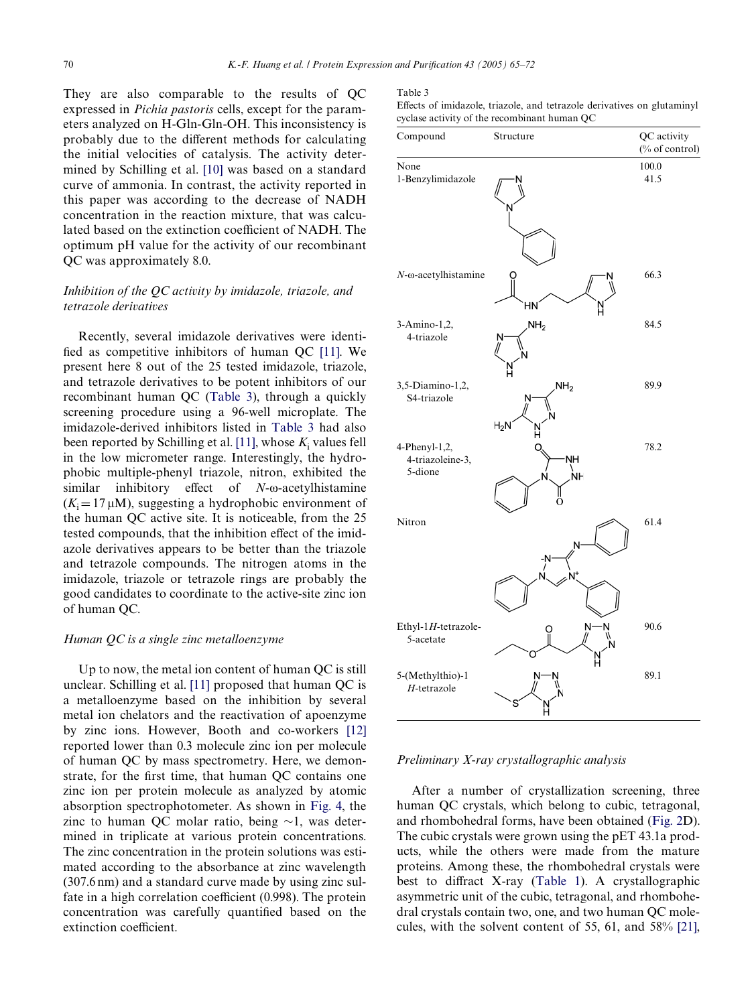They are also comparable to the results of QC expressed in *Pichia pastoris* cells, except for the parameters analyzed on H-Gln-Gln-OH. This inconsistency is probably due to the different methods for calculating the initial velocities of catalysis. The activity determined by Schilling et al. [\[10\]](#page-6-7) was based on a standard curve of ammonia. In contrast, the activity reported in this paper was according to the decrease of NADH concentration in the reaction mixture, that was calculated based on the extinction coefficient of NADH. The optimum pH value for the activity of our recombinant QC was approximately 8.0.

## *Inhibition of the QC activity by imidazole, triazole, and tetrazole derivatives*

Recently, several imidazole derivatives were identi-fied as competitive inhibitors of human OC [\[11\]](#page-6-4). We present here 8 out of the 25 tested imidazole, triazole, and tetrazole derivatives to be potent inhibitors of our recombinant human QC ([Table 3](#page-5-0)), through a quickly screening procedure using a 96-well microplate. The imidazole-derived inhibitors listed in [Table 3](#page-5-0) had also been reported by Schilling et al. [\[11\],](#page-6-4) whose  $K_i$  values fell in the low micrometer range. Interestingly, the hydrophobic multiple-phenyl triazole, nitron, exhibited the similar inhibitory effect of *N*- $\omega$ -acetylhistamine  $(K_i = 17 \,\mu\text{M})$ , suggesting a hydrophobic environment of the human QC active site. It is noticeable, from the 25 tested compounds, that the inhibition effect of the imidazole derivatives appears to be better than the triazole and tetrazole compounds. The nitrogen atoms in the imidazole, triazole or tetrazole rings are probably the good candidates to coordinate to the active-site zinc ion of human QC.

### *Human QC is a single zinc metalloenzyme*

Up to now, the metal ion content of human QC is still unclear. Schilling et al. [\[11\]](#page-6-4) proposed that human QC is a metalloenzyme based on the inhibition by several metal ion chelators and the reactivation of apoenzyme by zinc ions. However, Booth and co-workers [\[12\]](#page-6-8) reported lower than 0.3 molecule zinc ion per molecule of human QC by mass spectrometry. Here, we demonstrate, for the first time, that human QC contains one zinc ion per protein molecule as analyzed by atomic absorption spectrophotometer. As shown in [Fig. 4](#page-6-9), the zinc to human OC molar ratio, being  $\sim$ 1, was determined in triplicate at various protein concentrations. The zinc concentration in the protein solutions was estimated according to the absorbance at zinc wavelength (307.6 nm) and a standard curve made by using zinc sulfate in a high correlation coefficient  $(0.998)$ . The protein concentration was carefully quantified based on the extinction coefficient.

#### <span id="page-5-0"></span>Table 3

Effects of imidazole, triazole, and tetrazole derivatives on glutaminyl cyclase activity of the recombinant human QC



#### *Preliminary X-ray crystallographic analysis*

After a number of crystallization screening, three human QC crystals, which belong to cubic, tetragonal, and rhombohedral forms, have been obtained ([Fig. 2](#page-2-0)D). The cubic crystals were grown using the pET 43.1a products, while the others were made from the mature proteins. Among these, the rhombohedral crystals were best to diffract X-ray [\(Table 1\)](#page-3-0). A crystallographic asymmetric unit of the cubic, tetragonal, and rhombohedral crystals contain two, one, and two human QC molecules, with the solvent content of 55, 61, and 58% [\[21\]](#page-7-5),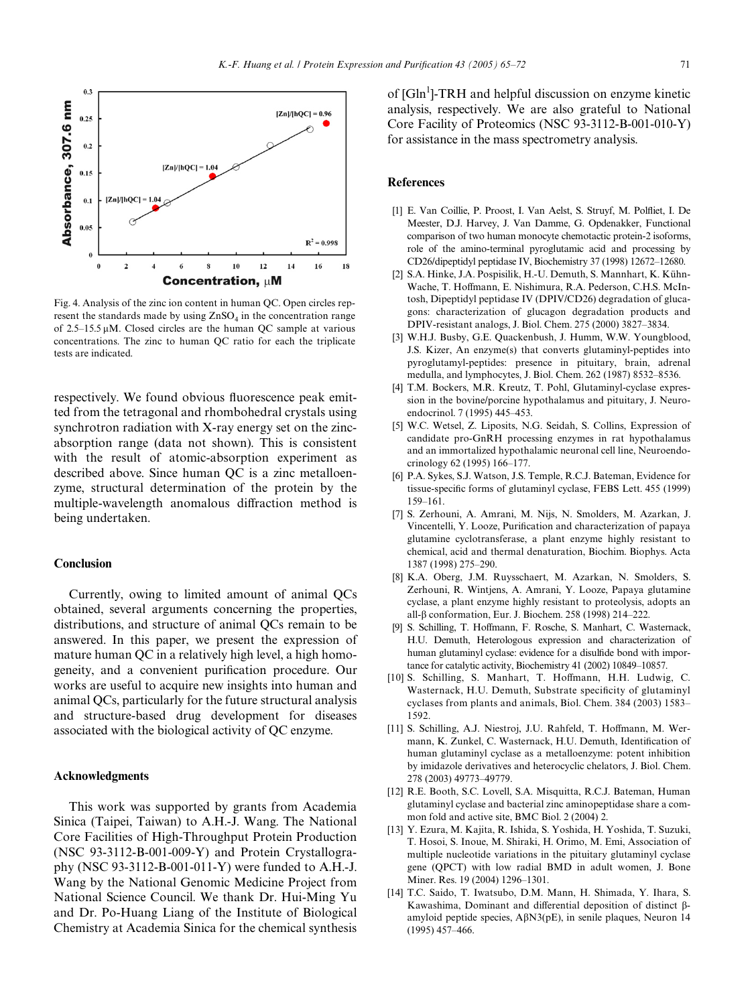

<span id="page-6-9"></span>Fig. 4. Analysis of the zinc ion content in human QC. Open circles represent the standards made by using  $ZnSO<sub>4</sub>$  in the concentration range of  $2.5-15.5 \mu M$ . Closed circles are the human QC sample at various concentrations. The zinc to human QC ratio for each the triplicate tests are indicated.

respectively. We found obvious fluorescence peak emitted from the tetragonal and rhombohedral crystals using synchrotron radiation with X-ray energy set on the zincabsorption range (data not shown). This is consistent with the result of atomic-absorption experiment as described above. Since human QC is a zinc metalloenzyme, structural determination of the protein by the multiple-wavelength anomalous diffraction method is being undertaken.

### **Conclusion**

Currently, owing to limited amount of animal QCs obtained, several arguments concerning the properties, distributions, and structure of animal QCs remain to be answered. In this paper, we present the expression of mature human QC in a relatively high level, a high homogeneity, and a convenient purification procedure. Our works are useful to acquire new insights into human and animal QCs, particularly for the future structural analysis and structure-based drug development for diseases associated with the biological activity of QC enzyme.

## **Acknowledgments**

This work was supported by grants from Academia Sinica (Taipei, Taiwan) to A.H.-J. Wang. The National Core Facilities of High-Throughput Protein Production (NSC 93-3112-B-001-009-Y) and Protein Crystallography (NSC 93-3112-B-001-011-Y) were funded to A.H.-J. Wang by the National Genomic Medicine Project from National Science Council. We thank Dr. Hui-Ming Yu and Dr. Po-Huang Liang of the Institute of Biological Chemistry at Academia Sinica for the chemical synthesis

of [Gln<sup>1</sup>]-TRH and helpful discussion on enzyme kinetic analysis, respectively. We are also grateful to National Core Facility of Proteomics (NSC 93-3112-B-001-010-Y) for assistance in the mass spectrometry analysis.

#### **References**

- <span id="page-6-0"></span>[1] E. Van Coillie, P. Proost, I. Van Aelst, S. Struyf, M. Polfliet, I. De Meester, D.J. Harvey, J. Van Damme, G. Opdenakker, Functional comparison of two human monocyte chemotactic protein-2 isoforms, role of the amino-terminal pyroglutamic acid and processing by CD26/dipeptidyl peptidase IV, Biochemistry 37 (1998) 12672–12680.
- [2] S.A. Hinke, J.A. Pospisilik, H.-U. Demuth, S. Mannhart, K. Kühn-Wache, T. Hoffmann, E. Nishimura, R.A. Pederson, C.H.S. McIntosh, Dipeptidyl peptidase IV (DPIV/CD26) degradation of glucagons: characterization of glucagon degradation products and DPIV-resistant analogs, J. Biol. Chem. 275 (2000) 3827–3834.
- <span id="page-6-1"></span>[3] W.H.J. Busby, G.E. Quackenbush, J. Humm, W.W. Youngblood, J.S. Kizer, An enzyme(s) that converts glutaminyl-peptides into pyroglutamyl-peptides: presence in pituitary, brain, adrenal medulla, and lymphocytes, J. Biol. Chem. 262 (1987) 8532–8536.
- [4] T.M. Bockers, M.R. Kreutz, T. Pohl, Glutaminyl-cyclase expression in the bovine/porcine hypothalamus and pituitary, J. Neuroendocrinol. 7 (1995) 445–453.
- [5] W.C. Wetsel, Z. Liposits, N.G. Seidah, S. Collins, Expression of candidate pro-GnRH processing enzymes in rat hypothalamus and an immortalized hypothalamic neuronal cell line, Neuroendocrinology 62 (1995) 166–177.
- [6] P.A. Sykes, S.J. Watson, J.S. Temple, R.C.J. Bateman, Evidence for tissue-specific forms of glutaminyl cyclase, FEBS Lett. 455 (1999) 159–161.
- <span id="page-6-2"></span>[7] S. Zerhouni, A. Amrani, M. Nijs, N. Smolders, M. Azarkan, J. Vincentelli, Y. Looze, Purification and characterization of papaya glutamine cyclotransferase, a plant enzyme highly resistant to chemical, acid and thermal denaturation, Biochim. Biophys. Acta 1387 (1998) 275–290.
- [8] K.A. Oberg, J.M. Ruysschaert, M. Azarkan, N. Smolders, S. Zerhouni, R. Wintjens, A. Amrani, Y. Looze, Papaya glutamine cyclase, a plant enzyme highly resistant to proteolysis, adopts an all- $\beta$  conformation, Eur. J. Biochem. 258 (1998) 214–222.
- <span id="page-6-3"></span>[9] S. Schilling, T. Hoffmann, F. Rosche, S. Manhart, C. Wasternack, H.U. Demuth, Heterologous expression and characterization of human glutaminyl cyclase: evidence for a disulfide bond with importance for catalytic activity, Biochemistry 41 (2002) 10849–10857.
- <span id="page-6-7"></span>[10] S. Schilling, S. Manhart, T. Hoffmann, H.H. Ludwig, C. Wasternack, H.U. Demuth, Substrate specificity of glutaminyl cyclases from plants and animals, Biol. Chem. 384 (2003) 1583– 1592.
- <span id="page-6-4"></span>[11] S. Schilling, A.J. Niestroj, J.U. Rahfeld, T. Hoffmann, M. Wermann, K. Zunkel, C. Wasternack, H.U. Demuth, Identification of human glutaminyl cyclase as a metalloenzyme: potent inhibition by imidazole derivatives and heterocyclic chelators, J. Biol. Chem. 278 (2003) 49773–49779.
- <span id="page-6-8"></span>[12] R.E. Booth, S.C. Lovell, S.A. Misquitta, R.C.J. Bateman, Human glutaminyl cyclase and bacterial zinc aminopeptidase share a common fold and active site, BMC Biol. 2 (2004) 2.
- <span id="page-6-5"></span>[13] Y. Ezura, M. Kajita, R. Ishida, S. Yoshida, H. Yoshida, T. Suzuki, T. Hosoi, S. Inoue, M. Shiraki, H. Orimo, M. Emi, Association of multiple nucleotide variations in the pituitary glutaminyl cyclase gene (QPCT) with low radial BMD in adult women, J. Bone Miner. Res. 19 (2004) 1296–1301.
- <span id="page-6-6"></span>[14] T.C. Saido, T. Iwatsubo, D.M. Mann, H. Shimada, Y. Ihara, S. Kawashima, Dominant and differential deposition of distinct Bamyloid peptide species,  $A\beta N3(pE)$ , in senile plaques, Neuron 14 (1995) 457–466.